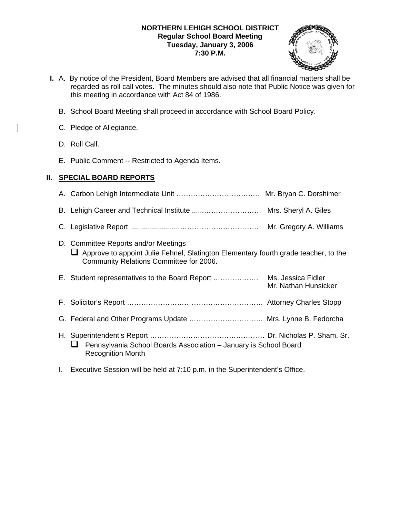## **NORTHERN LEHIGH SCHOOL DISTRICT Regular School Board Meeting Tuesday, January 3, 2006 7:30 P.M.**



- **I.** A. By notice of the President, Board Members are advised that all financial matters shall be regarded as roll call votes. The minutes should also note that Public Notice was given for this meeting in accordance with Act 84 of 1986.
	- B. School Board Meeting shall proceed in accordance with School Board Policy.
	- C. Pledge of Allegiance.
	- D. Roll Call.
	- E. Public Comment -- Restricted to Agenda Items.

# **II. SPECIAL BOARD REPORTS**

|    |                                                                                                                                                                        | Mr. Gregory A. Williams                    |
|----|------------------------------------------------------------------------------------------------------------------------------------------------------------------------|--------------------------------------------|
|    | D. Committee Reports and/or Meetings<br>Approve to appoint Julie Fehnel, Slatington Elementary fourth grade teacher, to the<br>Community Relations Committee for 2006. |                                            |
|    |                                                                                                                                                                        | Ms. Jessica Fidler<br>Mr. Nathan Hunsicker |
| F. |                                                                                                                                                                        |                                            |
|    | G. Federal and Other Programs Update  Mrs. Lynne B. Fedorcha                                                                                                           |                                            |
|    | Pennsylvania School Boards Association - January is School Board<br><b>Recognition Month</b>                                                                           |                                            |

I. Executive Session will be held at 7:10 p.m. in the Superintendent's Office.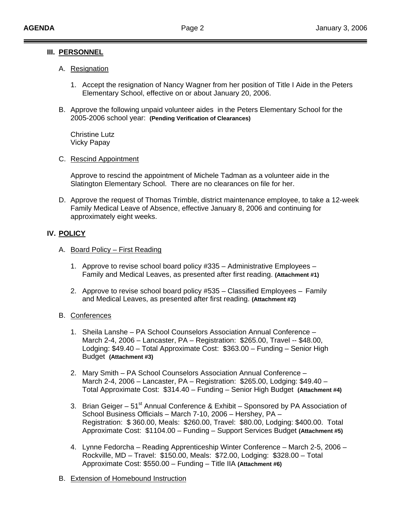## **III. PERSONNEL**

## A. Resignation

- 1. Accept the resignation of Nancy Wagner from her position of Title I Aide in the Peters Elementary School, effective on or about January 20, 2006.
- B. Approve the following unpaid volunteer aides in the Peters Elementary School for the 2005-2006 school year: **(Pending Verification of Clearances)**

 Christine Lutz Vicky Papay

## C. Rescind Appointment

 Approve to rescind the appointment of Michele Tadman as a volunteer aide in the Slatington Elementary School. There are no clearances on file for her.

D. Approve the request of Thomas Trimble, district maintenance employee, to take a 12-week Family Medical Leave of Absence, effective January 8, 2006 and continuing for approximately eight weeks.

## **IV. POLICY**

- A. Board Policy First Reading
	- 1. Approve to revise school board policy #335 Administrative Employees Family and Medical Leaves, as presented after first reading. **(Attachment #1)**
	- 2. Approve to revise school board policy #535 Classified Employees Family and Medical Leaves, as presented after first reading. **(Attachment #2)**

## B. Conferences

- 1. Sheila Lanshe PA School Counselors Association Annual Conference March 2-4, 2006 – Lancaster, PA – Registration: \$265.00, Travel -- \$48.00, Lodging: \$49.40 – Total Approximate Cost: \$363.00 – Funding – Senior High Budget **(Attachment #3)**
- 2. Mary Smith PA School Counselors Association Annual Conference March 2-4, 2006 – Lancaster, PA – Registration: \$265.00, Lodging: \$49.40 – Total Approximate Cost: \$314.40 – Funding – Senior High Budget **(Attachment #4)**
- 3. Brian Geiger 51<sup>st</sup> Annual Conference & Exhibit Sponsored by PA Association of School Business Officials – March 7-10, 2006 – Hershey, PA – Registration: \$ 360.00, Meals: \$260.00, Travel: \$80.00, Lodging: \$400.00. Total Approximate Cost: \$1104.00 – Funding – Support Services Budget **(Attachment #5)**
- 4. Lynne Fedorcha Reading Apprenticeship Winter Conference March 2-5, 2006 Rockville, MD – Travel: \$150.00, Meals: \$72.00, Lodging: \$328.00 – Total Approximate Cost: \$550.00 – Funding – Title IIA **(Attachment #6)**
- B. Extension of Homebound Instruction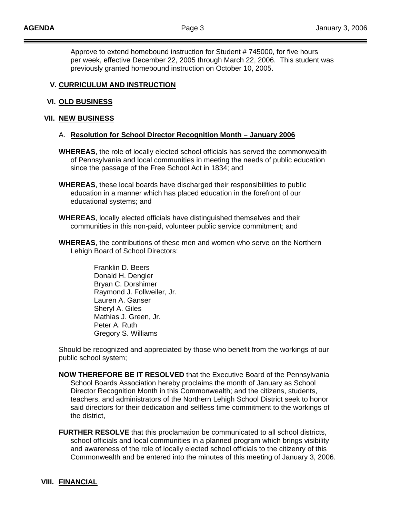Approve to extend homebound instruction for Student # 745000, for five hours per week, effective December 22, 2005 through March 22, 2006. This student was previously granted homebound instruction on October 10, 2005.

## **V. CURRICULUM AND INSTRUCTION**

#### **VI. OLD BUSINESS**

#### **VII. NEW BUSINESS**

#### A. **Resolution for School Director Recognition Month – January 2006**

- **WHEREAS**, the role of locally elected school officials has served the commonwealth of Pennsylvania and local communities in meeting the needs of public education since the passage of the Free School Act in 1834; and
- **WHEREAS**, these local boards have discharged their responsibilities to public education in a manner which has placed education in the forefront of our educational systems; and
- **WHEREAS**, locally elected officials have distinguished themselves and their communities in this non-paid, volunteer public service commitment; and
- **WHEREAS**, the contributions of these men and women who serve on the Northern Lehigh Board of School Directors:

 Franklin D. Beers Donald H. Dengler Bryan C. Dorshimer Raymond J. Follweiler, Jr. Lauren A. Ganser Sheryl A. Giles Mathias J. Green, Jr. Peter A. Ruth Gregory S. Williams

Should be recognized and appreciated by those who benefit from the workings of our public school system;

- **NOW THEREFORE BE IT RESOLVED** that the Executive Board of the Pennsylvania School Boards Association hereby proclaims the month of January as School Director Recognition Month in this Commonwealth; and the citizens, students, teachers, and administrators of the Northern Lehigh School District seek to honor said directors for their dedication and selfless time commitment to the workings of the district,
- **FURTHER RESOLVE** that this proclamation be communicated to all school districts, school officials and local communities in a planned program which brings visibility and awareness of the role of locally elected school officials to the citizenry of this Commonwealth and be entered into the minutes of this meeting of January 3, 2006.

#### **VIII. FINANCIAL**